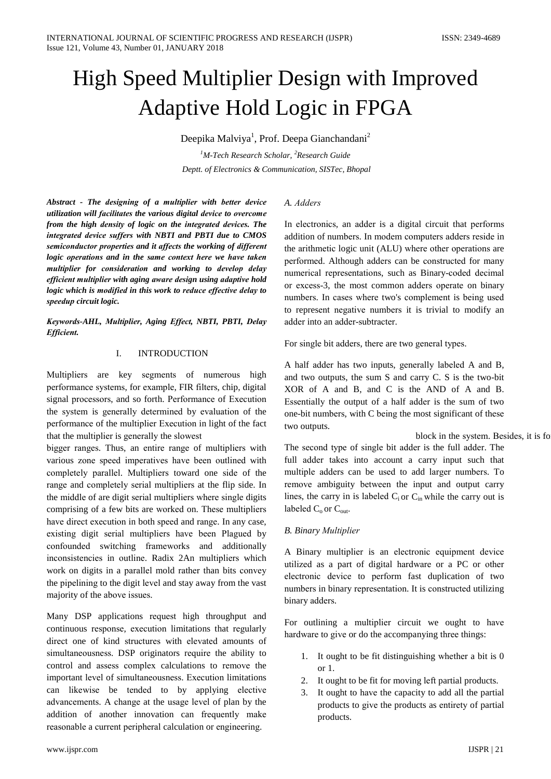# High Speed Multiplier Design with Improved Adaptive Hold Logic in FPGA

Deepika Malviya<sup>1</sup>, Prof. Deepa Gianchandani<sup>2</sup>

 $M$ -Tech Research Scholar, <sup>2</sup>Research Guide Deptt. of Electronics & Communication, SISTec, Bhopal

Abstract - The designing of a multiplier with better device utilization will facilitates the various digital device to overcome from the high density of logic on the integrated devices. The integrated device suffers with NBTI and PBTI due to CMOS semiconductor properties and it affects the working of different logic operations and in the same context here we have taken multiplier for consideration and working to develop delay efficient multiplier with aging aware design using adaptive hold logic which is modified in this work to reduce effective delay to speedup circuit logic.

Keywords-AHL, Multiplier, Aging Effect, NBTI, PBTI, Delay **Efficient.** 

#### $\mathbf{I}$ **INTRODUCTION**

Multipliers are key segments of numerous high performance systems, for example, FIR filters, chip, digital signal processors, and so forth. Performance of Execution the system is generally determined by evaluation of the performance of the multiplier Execution in light of the fact that the multiplier is generally the slowest

bigger ranges. Thus, an entire range of multipliers with various zone speed imperatives have been outlined with completely parallel. Multipliers toward one side of the range and completely serial multipliers at the flip side. In the middle of are digit serial multipliers where single digits comprising of a few bits are worked on. These multipliers have direct execution in both speed and range. In any case, existing digit serial multipliers have been Plagued by confounded switching frameworks and additionally inconsistencies in outline. Radix 2An multipliers which work on digits in a parallel mold rather than bits convey the pipelining to the digit level and stay away from the vast majority of the above issues.

Many DSP applications request high throughput and continuous response, execution limitations that regularly direct one of kind structures with elevated amounts of simultaneousness. DSP originators require the ability to control and assess complex calculations to remove the important level of simultaneousness. Execution limitations can likewise be tended to by applying elective advancements. A change at the usage level of plan by the addition of another innovation can frequently make reasonable a current peripheral calculation or engineering.

## A. Adders

In electronics, an adder is a digital circuit that performs addition of numbers. In modem computers adders reside in the arithmetic logic unit (ALU) where other operations are performed. Although adders can be constructed for many numerical representations, such as Binary-coded decimal or excess-3, the most common adders operate on binary numbers. In cases where two's complement is being used to represent negative numbers it is trivial to modify an adder into an adder-subtracter.

For single bit adders, there are two general types.

A half adder has two inputs, generally labeled A and B, and two outputs, the sum S and carry C. S is the two-bit XOR of A and B, and C is the AND of A and B. Essentially the output of a half adder is the sum of two one-bit numbers, with C being the most significant of these two outputs.

block in the system. Besides, it is fo

The second type of single bit adder is the full adder. The full adder takes into account a carry input such that multiple adders can be used to add larger numbers. To remove ambiguity between the input and output carry lines, the carry in is labeled  $C_i$  or  $C_{in}$  while the carry out is labeled  $C_0$  or  $C_{\text{out}}$ .

## **B.** Binary Multiplier

A Binary multiplier is an electronic equipment device utilized as a part of digital hardware or a PC or other electronic device to perform fast duplication of two numbers in binary representation. It is constructed utilizing binary adders.

For outlining a multiplier circuit we ought to have hardware to give or do the accompanying three things:

- 1. It ought to be fit distinguishing whether a bit is  $0$ or  $1$ .
- 2. It ought to be fit for moving left partial products.
- 3. It ought to have the capacity to add all the partial products to give the products as entirety of partial products.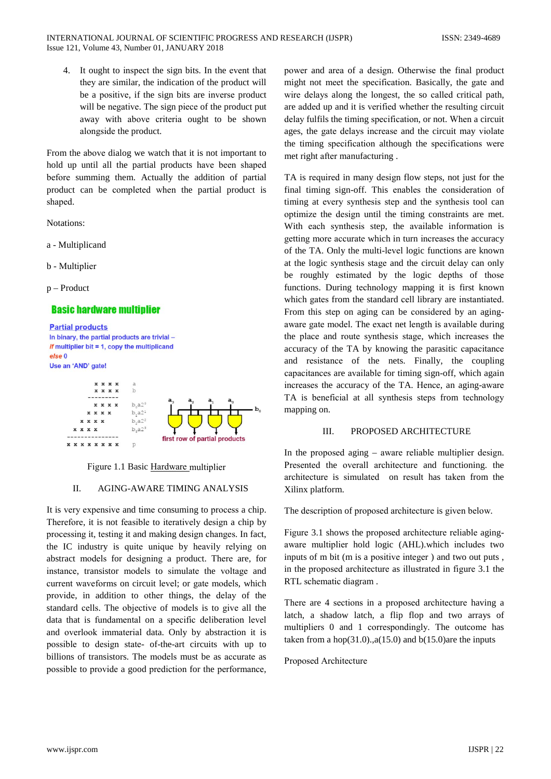4. It ought to inspect the sign bits. In the event that they are similar, the indication of the product will be a positive, if the sign bits are inverse product will be negative. The sign piece of the product put away with above criteria ought to be shown alongside the product.

From the above dialog we watch that it is not important to hold up until all the partial products have been shaped before summing them. Actually the addition of partial product can be completed when the partial product is shaped.

Notations:

- a Multiplicand
- b Multiplier

 $p$  – Product

## **Basic hardware multiplier**

**Partial products** In binary, the partial products are trivial *if* multiplier bit = 1, copy the multiplicand else 0 Use an 'AND' gate!



Figure 1.1 Basic Hardware multiplier

#### $\Pi$ . **AGING-AWARE TIMING ANALYSIS**

It is very expensive and time consuming to process a chip. Therefore, it is not feasible to iteratively design a chip by processing it, testing it and making design changes. In fact, the IC industry is quite unique by heavily relying on abstract models for designing a product. There are, for instance, transistor models to simulate the voltage and current waveforms on circuit level; or gate models, which provide, in addition to other things, the delay of the standard cells. The objective of models is to give all the data that is fundamental on a specific deliberation level and overlook immaterial data. Only by abstraction it is possible to design state- of-the-art circuits with up to billions of transistors. The models must be as accurate as possible to provide a good prediction for the performance,

power and area of a design. Otherwise the final product might not meet the specification. Basically, the gate and wire delays along the longest, the so called critical path, are added up and it is verified whether the resulting circuit delay fulfils the timing specification, or not. When a circuit ages, the gate delays increase and the circuit may violate the timing specification although the specifications were met right after manufacturing.

TA is required in many design flow steps, not just for the final timing sign-off. This enables the consideration of timing at every synthesis step and the synthesis tool can optimize the design until the timing constraints are met. With each synthesis step, the available information is getting more accurate which in turn increases the accuracy of the TA. Only the multi-level logic functions are known at the logic synthesis stage and the circuit delay can only be roughly estimated by the logic depths of those functions. During technology mapping it is first known which gates from the standard cell library are instantiated. From this step on aging can be considered by an agingaware gate model. The exact net length is available during the place and route synthesis stage, which increases the accuracy of the TA by knowing the parasitic capacitance and resistance of the nets. Finally, the coupling capacitances are available for timing sign-off, which again increases the accuracy of the TA. Hence, an aging-aware TA is beneficial at all synthesis steps from technology mapping on.

#### III. PROPOSED ARCHITECTURE

In the proposed aging  $-$  aware reliable multiplier design. Presented the overall architecture and functioning. the architecture is simulated on result has taken from the Xilinx platform.

The description of proposed architecture is given below.

Figure 3.1 shows the proposed architecture reliable agingaware multiplier hold logic (AHL).which includes two inputs of m bit (m is a positive integer) and two out puts, in the proposed architecture as illustrated in figure 3.1 the RTL schematic diagram.

There are 4 sections in a proposed architecture having a latch, a shadow latch, a flip flop and two arrays of multipliers 0 and 1 correspondingly. The outcome has taken from a hop $(31.0)$ ., $a(15.0)$  and  $b(15.0)$  are the inputs

Proposed Architecture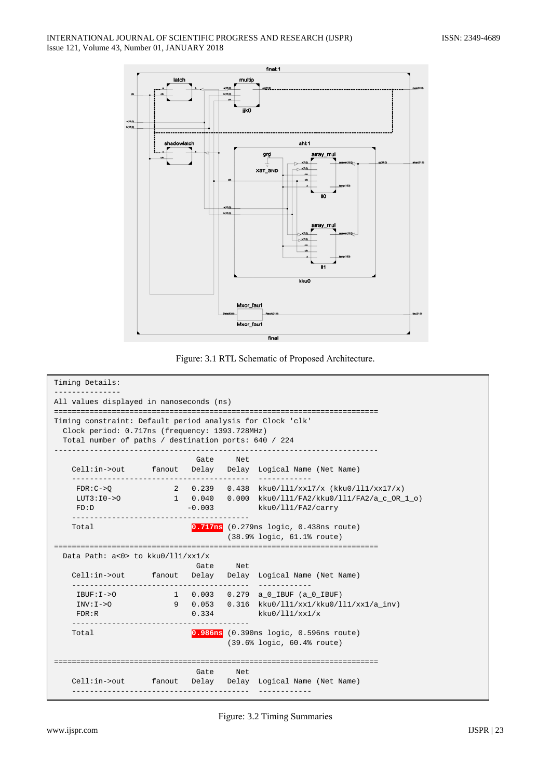



```
Timing Details:
. . . . . . . . . . . . . . .
All values displayed in nanoseconds (ns)
Timing constraint: Default period analysis for Clock 'clk'
 Clock period: 0.717ns (frequency: 1393.728MHz)
 Total number of paths / destination ports: 640 / 224
    ___________________
                    Gate Net
  Cell:in->out fanout Delay Delay Logical Name (Net Name)
  _____________
   FDR:C->Q 2 0.239 0.438 kku0/ll1/xx17/x (kku0/ll1/xx17/x)
   LUT3:I0->01 \t 0.0400.000 kku0/ll1/FA2/kku0/ll1/FA2/a_c_OR_1_o)
   FD:D-0.003kku0/111/FA2/carry
  0.717ns (0.279ns logic, 0.438ns route)
  Total
                        (38.9% logic, 61.1% route)
Data Path: a < 0 > to kku0/l11/xx1/xGate
                         Net.
            fanout Delay Delay Logical Name (Net Name)
  Cell:in->out
   ____________
                1 0.003 0.279 a 0 IBUF (a 0 IBUF)
   IBUF:I->OINV:I->O9 0.053 0.316 kku0/111/xx1/kku0/111/xx1/a_inv)
                   0.334
   FDR:Rkku0/111/xx1/x
                    0.986ns (0.390ns logic, 0.596ns route)
  Total
                         (39.6% logic, 60.4% route)
Gate Net
  Cell:in->out
             fanout Delay Delay Logical Name (Net Name)
```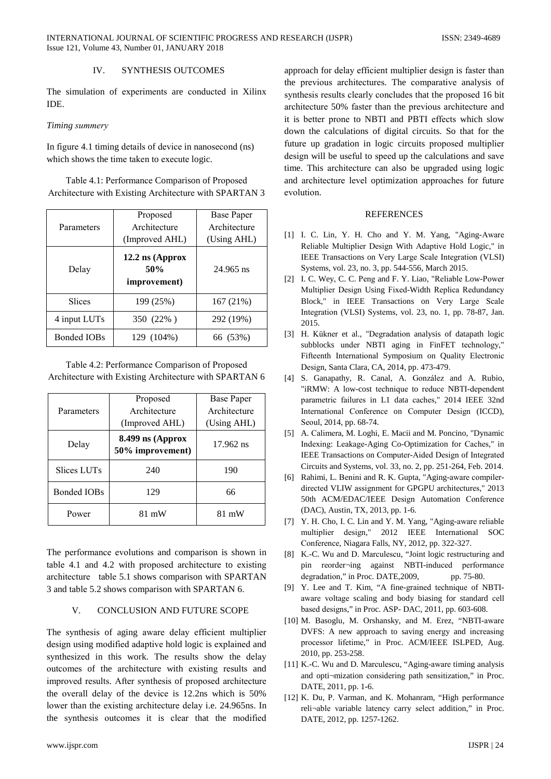#### **SYNTHESIS OUTCOMES**  $\mathbf{I} \mathbf{V}$

The simulation of experiments are conducted in Xilinx **IDE** 

## Timing summery

In figure 4.1 timing details of device in nanosecond (ns) which shows the time taken to execute logic.

Table 4.1: Performance Comparison of Proposed Architecture with Existing Architecture with SPARTAN 3

| Parameters         | Proposed<br>Architecture<br>(Improved AHL) | <b>Base Paper</b><br>Architecture<br>(Using AHL) |
|--------------------|--------------------------------------------|--------------------------------------------------|
| Delay              | 12.2 ns (Approx<br>50%<br>improvement)     | 24.965 ns                                        |
| <b>Slices</b>      | 199 (25%)                                  | 167 (21%)                                        |
| 4 input LUTs       | 350 (22%)                                  | 292 (19%)                                        |
| <b>Bonded IOBs</b> | 129 (104%)                                 | 66 (53%)                                         |

Table 4.2: Performance Comparison of Proposed Architecture with Existing Architecture with SPARTAN 6

| Parameters         | Proposed                             | <b>Base Paper</b> |
|--------------------|--------------------------------------|-------------------|
|                    | Architecture                         | Architecture      |
|                    | (Improved AHL)                       | (Using AHL)       |
| Delay              | 8.499 ns (Approx<br>50% improvement) | 17.962 ns         |
| Slices LUTs        | 240                                  | 190               |
| <b>Bonded IOBs</b> | 129                                  | 66                |
| Power              | 81 mW                                | 81 mW             |

The performance evolutions and comparison is shown in table 4.1 and 4.2 with proposed architecture to existing architecture table 5.1 shows comparison with SPARTAN 3 and table 5.2 shows comparison with SPARTAN 6.

#### $V_{\cdot}$ **CONCLUSION AND FUTURE SCOPE**

The synthesis of aging aware delay efficient multiplier design using modified adaptive hold logic is explained and synthesized in this work. The results show the delay outcomes of the architecture with existing results and improved results. After synthesis of proposed architecture the overall delay of the device is 12.2ns which is 50% lower than the existing architecture delay *i.e.* 24.965ns. In the synthesis outcomes it is clear that the modified

approach for delay efficient multiplier design is faster than the previous architectures. The comparative analysis of synthesis results clearly concludes that the proposed 16 bit architecture 50% faster than the previous architecture and it is better prone to NBTI and PBTI effects which slow down the calculations of digital circuits. So that for the future up gradation in logic circuits proposed multiplier design will be useful to speed up the calculations and save time. This architecture can also be upgraded using logic and architecture level optimization approaches for future evolution.

### **REFERENCES**

- [1] I. C. Lin, Y. H. Cho and Y. M. Yang, "Aging-Aware Reliable Multiplier Design With Adaptive Hold Logic," in IEEE Transactions on Very Large Scale Integration (VLSI) Systems, vol. 23, no. 3, pp. 544-556, March 2015.
- [2] I. C. Wey, C. C. Peng and F. Y. Liao, "Reliable Low-Power Multiplier Design Using Fixed-Width Replica Redundancy Block," in IEEE Transactions on Very Large Scale Integration (VLSI) Systems, vol. 23, no. 1, pp. 78-87, Jan. 2015.
- [3] H. Kükner et al., "Degradation analysis of datapath logic subblocks under NBTI aging in FinFET technology," Fifteenth International Symposium on Quality Electronic Design, Santa Clara, CA, 2014, pp. 473-479.
- [4] S. Ganapathy, R. Canal, A. González and A. Rubio, "iRMW: A low-cost technique to reduce NBTI-dependent parametric failures in L1 data caches," 2014 IEEE 32nd International Conference on Computer Design (ICCD), Seoul, 2014, pp. 68-74.
- [5] A. Calimera, M. Loghi, E. Macii and M. Poncino, "Dynamic Indexing: Leakage-Aging Co-Optimization for Caches," in IEEE Transactions on Computer-Aided Design of Integrated Circuits and Systems, vol. 33, no. 2, pp. 251-264, Feb. 2014.
- [6] Rahimi, L. Benini and R. K. Gupta, "Aging-aware compilerdirected VLIW assignment for GPGPU architectures," 2013 50th ACM/EDAC/IEEE Design Automation Conference (DAC), Austin, TX, 2013, pp. 1-6.
- [7] Y. H. Cho, I. C. Lin and Y. M. Yang, "Aging-aware reliable multiplier design," 2012 IEEE International SOC Conference, Niagara Falls, NY, 2012, pp. 322-327.
- [8] K.-C. Wu and D. Marculescu, "Joint logic restructuring and pin reorder-ing against NBTI-induced performance degradation," in Proc. DATE, 2009, pp. 75-80.
- [9] Y. Lee and T. Kim, "A fine-grained technique of NBTIaware voltage scaling and body biasing for standard cell based designs," in Proc. ASP-DAC, 2011, pp. 603-608.
- [10] M. Basoglu, M. Orshansky, and M. Erez, "NBTI-aware DVFS: A new approach to saving energy and increasing processor lifetime," in Proc. ACM/IEEE ISLPED, Aug. 2010, pp. 253-258.
- [11] K.-C. Wu and D. Marculescu, "Aging-aware timing analysis and opti-mization considering path sensitization," in Proc. DATE, 2011, pp. 1-6.
- [12] K. Du, P. Varman, and K. Mohanram, "High performance reli-able variable latency carry select addition," in Proc. DATE, 2012, pp. 1257-1262.